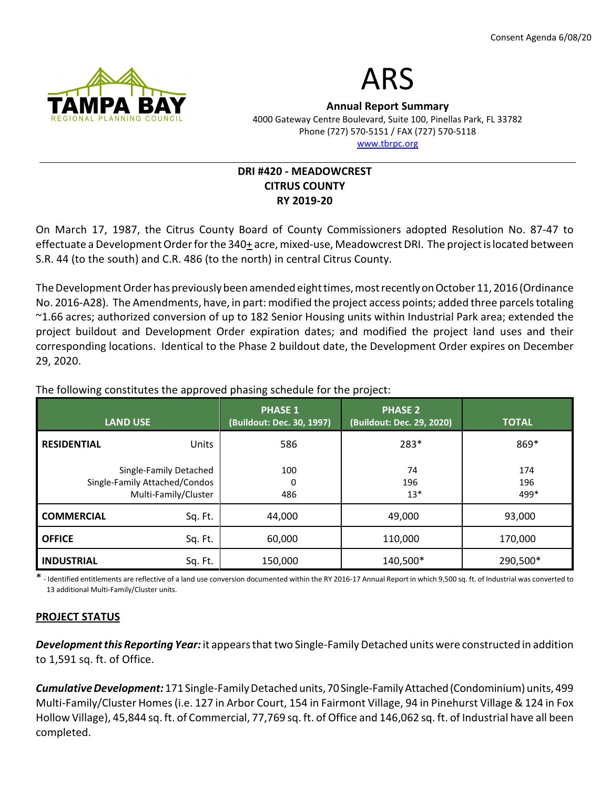



Annual Report Summary 4000 Gateway Centre Boulevard, Suite 100, Pinellas Park, FL 33782 Phone (727) 570-5151 / FAX (727) 570-5118 www.tbrpc.org

# DRI #420 - MEADOWCREST CITRUS COUNTY RY 2019-20

On March 17, 1987, the Citrus County Board of County Commissioners adopted Resolution No. 87-47 to effectuate a Development Order for the 340+ acre, mixed-use, Meadowcrest DRI. The project is located between S.R. 44 (to the south) and C.R. 486 (to the north) in central Citrus County.

The Development Order has previously been amended eight times, most recently on October 11, 2016 (Ordinance No. 2016-A28). The Amendments, have, in part: modified the project access points; added three parcels totaling ~1.66 acres; authorized conversion of up to 182 Senior Housing units within Industrial Park area; extended the project buildout and Development Order expiration dates; and modified the project land uses and their corresponding locations. Identical to the Phase 2 buildout date, the Development Order expires on December 29, 2020.

LAND USE PHASE 1 (Buildout: Dec. 30, 1997) PHASE 2 (Buildout: Dec. 29, 2020) TOTAL RESIDENTIAL Units Single-Family Detached Single-Family Attached/Condos Multi-Family/Cluster 586 100  $\Omega$  486 283\* 74 196 13\* 869\* 174 196 499\* **COMMERCIAL** Sq. Ft. | 44,000  $\vert$  49,000 | 93,000 **OFFICE** Sq. Ft. | 60,000 | 110,000 | 170,000  $\textsf{INDUSTRIAL} \quad \textsf{Sq}.\, \textsf{Ft.} \quad \textsf{150,000} \quad \textsf{10,140,500*} \quad \textsf{290,500*}$ 

The following constitutes the approved phasing schedule for the project:

\* - Identified entitlements are reflective of a land use conversion documented within the RY 2016-17 Annual Report in which 9,500 sq. ft. of Industrial was converted to 13 additional Multi-Family/Cluster units.

## PROJECT STATUS

Development this Reporting Year: it appears that two Single-Family Detached units were constructed in addition to 1,591 sq. ft. of Office.

Cumulative Development: 171 Single-Family Detached units, 70 Single-Family Attached (Condominium) units, 499 Multi-Family/Cluster Homes (i.e. 127 in Arbor Court, 154 in Fairmont Village, 94 in Pinehurst Village & 124 in Fox Hollow Village), 45,844 sq. ft. of Commercial, 77,769 sq. ft. of Office and 146,062 sq. ft. of Industrial have all been completed.